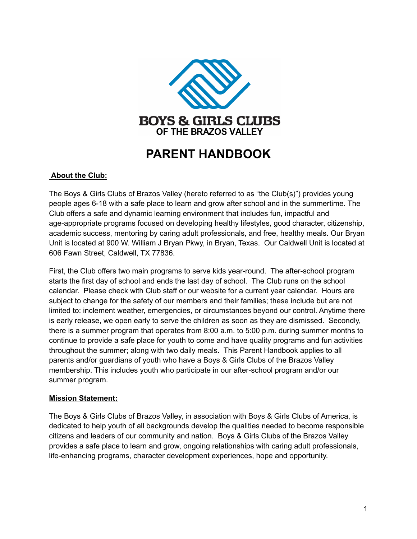

# **PARENT HANDBOOK**

## **About the Club:**

The Boys & Girls Clubs of Brazos Valley (hereto referred to as "the Club(s)") provides young people ages 6-18 with a safe place to learn and grow after school and in the summertime. The Club offers a safe and dynamic learning environment that includes fun, impactful and age-appropriate programs focused on developing healthy lifestyles, good character, citizenship, academic success, mentoring by caring adult professionals, and free, healthy meals. Our Bryan Unit is located at 900 W. William J Bryan Pkwy, in Bryan, Texas. Our Caldwell Unit is located at 606 Fawn Street, Caldwell, TX 77836.

First, the Club offers two main programs to serve kids year-round. The after-school program starts the first day of school and ends the last day of school. The Club runs on the school calendar. Please check with Club staff or our website for a current year calendar. Hours are subject to change for the safety of our members and their families; these include but are not limited to: inclement weather, emergencies, or circumstances beyond our control. Anytime there is early release, we open early to serve the children as soon as they are dismissed. Secondly, there is a summer program that operates from 8:00 a.m. to 5:00 p.m. during summer months to continue to provide a safe place for youth to come and have quality programs and fun activities throughout the summer; along with two daily meals. This Parent Handbook applies to all parents and/or guardians of youth who have a Boys & Girls Clubs of the Brazos Valley membership. This includes youth who participate in our after-school program and/or our summer program.

#### **Mission Statement:**

The Boys & Girls Clubs of Brazos Valley, in association with Boys & Girls Clubs of America, is dedicated to help youth of all backgrounds develop the qualities needed to become responsible citizens and leaders of our community and nation. Boys & Girls Clubs of the Brazos Valley provides a safe place to learn and grow, ongoing relationships with caring adult professionals, life-enhancing programs, character development experiences, hope and opportunity.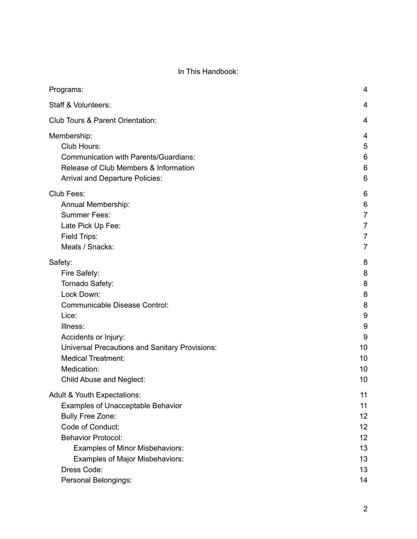## In This Handbook:

| Programs:                                             | 4              |
|-------------------------------------------------------|----------------|
| Staff & Volunteers:                                   | 4              |
| Club Tours & Parent Orientation:                      | 4              |
| Membership:                                           | 4              |
| Club Hours:                                           | 5              |
| <b>Communication with Parents/Guardians:</b>          | 6              |
| Release of Club Members & Information                 | 6              |
| Arrival and Departure Policies:                       | 6              |
| Club Fees:                                            | 6              |
| Annual Membership:                                    | 6              |
| <b>Summer Fees:</b>                                   | $\overline{7}$ |
| Late Pick Up Fee:                                     | $\overline{7}$ |
| Field Trips:                                          | $\overline{7}$ |
| Meals / Snacks:                                       | $\overline{7}$ |
| Safety:                                               | 8              |
| Fire Safety:                                          | 8              |
| Tornado Safety:                                       | 8              |
| Lock Down:                                            | 8              |
| <b>Communicable Disease Control:</b>                  | 8              |
| Lice:                                                 | 9              |
| Illness:                                              | 9              |
| Accidents or Injury:                                  | 9              |
| <b>Universal Precautions and Sanitary Provisions:</b> | 10             |
| <b>Medical Treatment:</b>                             | 10             |
| Medication:                                           | 10             |
| Child Abuse and Neglect:                              | 10             |
| <b>Adult &amp; Youth Expectations:</b>                | 11             |
| <b>Examples of Unacceptable Behavior</b>              | 11             |
| <b>Bully Free Zone:</b>                               | 12             |
| Code of Conduct:                                      | 12             |
| <b>Behavior Protocol:</b>                             | 12             |
| <b>Examples of Minor Misbehaviors:</b>                | 13             |
| <b>Examples of Major Misbehaviors:</b>                | 13             |
| Dress Code:                                           | 13             |
| Personal Belongings:                                  | 14             |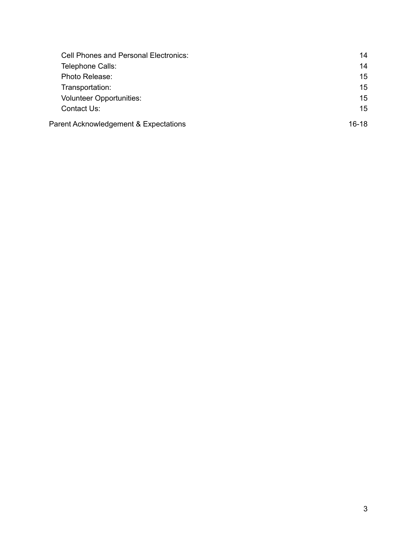| <b>Cell Phones and Personal Electronics:</b> | 14      |
|----------------------------------------------|---------|
| Telephone Calls:                             | 14      |
| Photo Release:                               | 15      |
| Transportation:                              | 15      |
| <b>Volunteer Opportunities:</b>              | 15      |
| Contact Us:                                  | 15      |
| Parent Acknowledgement & Expectations        | $16-18$ |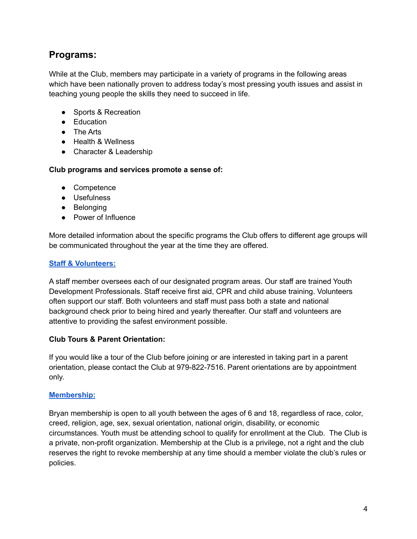## <span id="page-3-0"></span>**Programs:**

While at the Club, members may participate in a variety of programs in the following areas which have been nationally proven to address today's most pressing youth issues and assist in teaching young people the skills they need to succeed in life.

- Sports & Recreation
- Education
- The Arts
- Health & Wellness
- Character & Leadership

**Club programs and services promote a sense of:**

- Competence
- Usefulness
- Belonging
- Power of Influence

More detailed information about the specific programs the Club offers to different age groups will be communicated throughout the year at the time they are offered.

## <span id="page-3-1"></span>**Staff & [Volunteers:](https://www.bgcbv.org/volunteer.html)**

A staff member oversees each of our designated program areas. Our staff are trained Youth Development Professionals. Staff receive first aid, CPR and child abuse training. Volunteers often support our staff. Both volunteers and staff must pass both a state and national background check prior to being hired and yearly thereafter. Our staff and volunteers are attentive to providing the safest environment possible.

## <span id="page-3-2"></span>**Club Tours & Parent Orientation:**

If you would like a tour of the Club before joining or are interested in taking part in a parent orientation, please contact the Club at 979-822-7516. Parent orientations are by appointment only.

## <span id="page-3-3"></span>**[Membership:](https://www.bgcbv.org/membership.html)**

Bryan membership is open to all youth between the ages of 6 and 18, regardless of race, color, creed, religion, age, sex, sexual orientation, national origin, disability, or economic circumstances. Youth must be attending school to qualify for enrollment at the Club. The Club is a private, non-profit organization. Membership at the Club is a privilege, not a right and the club reserves the right to revoke membership at any time should a member violate the club's rules or policies.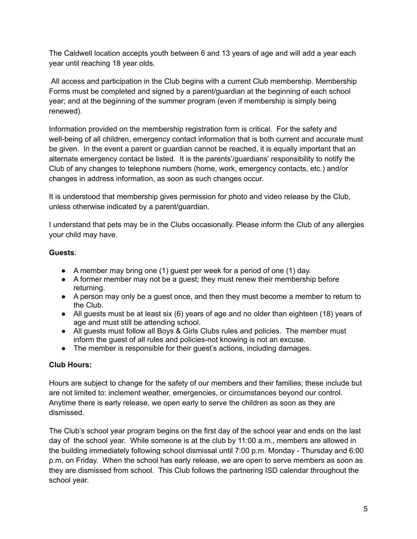The Caldwell location accepts youth between 6 and 13 years of age and will add a year each year until reaching 18 year olds.

All access and participation in the Club begins with a current Club membership. Membership Forms must be completed and signed by a parent/guardian at the beginning of each school year; and at the beginning of the summer program (even if membership is simply being renewed).

Information provided on the membership registration form is critical. For the safety and well-being of all children, emergency contact information that is both current and accurate must be given. In the event a parent or guardian cannot be reached, it is equally important that an alternate emergency contact be listed. It is the parents'/guardians' responsibility to notify the Club of any changes to telephone numbers (home, work, emergency contacts, etc.) and/or changes in address information, as soon as such changes occur.

It is understood that membership gives permission for photo and video release by the Club, unless otherwise indicated by a parent/guardian.

I understand that pets may be in the Clubs occasionally. Please inform the Club of any allergies your child may have.

## **Guests**:

- A member may bring one (1) guest per week for a period of one (1) day.
- A former member may not be a guest; they must renew their membership before returning.
- A person may only be a guest once, and then they must become a member to return to the Club.
- All guests must be at least six (6) years of age and no older than eighteen (18) years of age and must still be attending school.
- All guests must follow all Boys & Girls Clubs rules and policies. The member must inform the guest of all rules and policies-not knowing is not an excuse.
- The member is responsible for their guest's actions, including damages.

## <span id="page-4-0"></span>**Club Hours:**

Hours are subject to change for the safety of our members and their families; these include but are not limited to: inclement weather, emergencies, or circumstances beyond our control. Anytime there is early release, we open early to serve the children as soon as they are dismissed.

The Club's school year program begins on the first day of the school year and ends on the last day of the school year. While someone is at the club by 11:00 a.m., members are allowed in the building immediately following school dismissal until 7:00 p.m. Monday - Thursday and 6:00 p.m. on Friday. When the school has early release, we are open to serve members as soon as they are dismissed from school. This Club follows the partnering ISD calendar throughout the school year.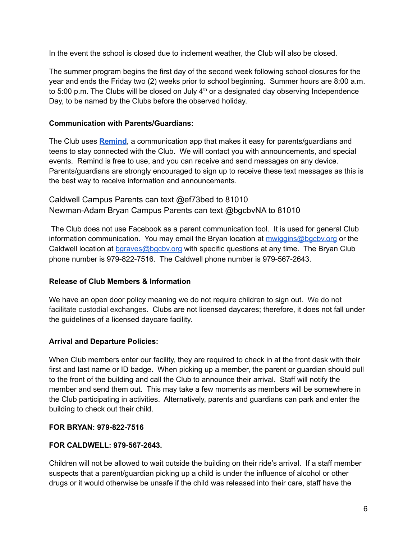In the event the school is closed due to inclement weather, the Club will also be closed.

The summer program begins the first day of the second week following school closures for the year and ends the Friday two (2) weeks prior to school beginning. Summer hours are 8:00 a.m. to 5:00 p.m. The Clubs will be closed on July  $4<sup>th</sup>$  or a designated day observing Independence Day, to be named by the Clubs before the observed holiday.

## <span id="page-5-0"></span>**Communication with Parents/Guardians:**

The Club uses **[Remind](https://www.remind.com/)**, a communication app that makes it easy for parents/guardians and teens to stay connected with the Club. We will contact you with announcements, and special events. Remind is free to use, and you can receive and send messages on any device. Parents/guardians are strongly encouraged to sign up to receive these text messages as this is the best way to receive information and announcements.

Caldwell Campus Parents can text @ef73bed to 81010 Newman-Adam Bryan Campus Parents can text @bgcbvNA to 81010

The Club does not use Facebook as a parent communication tool. It is used for general Club information communication. You may email the Bryan location at [mwiggins@bgcbv.org](mailto:mwiggins@bgcbv.org) or the Caldwell location at [bgraves@bgcbv.org](mailto:bgraves@bgcbv.org) with specific questions at any time. The Bryan Club phone number is 979-822-7516. The Caldwell phone number is 979-567-2643.

#### <span id="page-5-1"></span>**Release of Club Members & Information**

We have an open door policy meaning we do not require children to sign out. We do not facilitate custodial exchanges. Clubs are not licensed daycares; therefore, it does not fall under the guidelines of a licensed daycare facility.

## <span id="page-5-2"></span>**Arrival and Departure Policies:**

When Club members enter our facility, they are required to check in at the front desk with their first and last name or ID badge. When picking up a member, the parent or guardian should pull to the front of the building and call the Club to announce their arrival. Staff will notify the member and send them out. This may take a few moments as members will be somewhere in the Club participating in activities. Alternatively, parents and guardians can park and enter the building to check out their child.

#### **FOR BRYAN: 979-822-7516**

## **FOR CALDWELL: 979-567-2643.**

Children will not be allowed to wait outside the building on their ride's arrival. If a staff member suspects that a parent/guardian picking up a child is under the influence of alcohol or other drugs or it would otherwise be unsafe if the child was released into their care, staff have the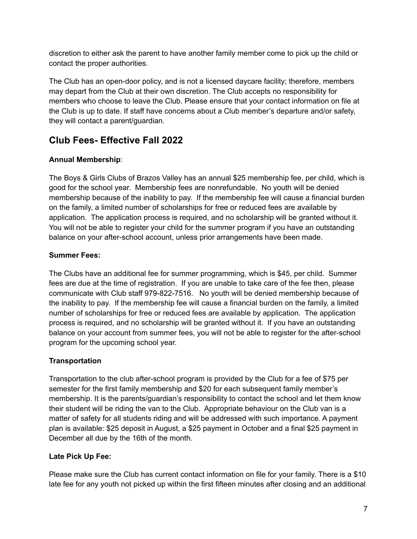discretion to either ask the parent to have another family member come to pick up the child or contact the proper authorities.

The Club has an open-door policy, and is not a licensed daycare facility; therefore, members may depart from the Club at their own discretion. The Club accepts no responsibility for members who choose to leave the Club. Please ensure that your contact information on file at the Club is up to date. If staff have concerns about a Club member's departure and/or safety, they will contact a parent/guardian.

## <span id="page-6-0"></span>**Club Fees- Effective Fall 2022**

## <span id="page-6-1"></span>**Annual Membership**:

The Boys & Girls Clubs of Brazos Valley has an annual \$25 membership fee, per child, which is good for the school year. Membership fees are nonrefundable. No youth will be denied membership because of the inability to pay. If the membership fee will cause a financial burden on the family, a limited number of scholarships for free or reduced fees are available by application. The application process is required, and no scholarship will be granted without it. You will not be able to register your child for the summer program if you have an outstanding balance on your after-school account, unless prior arrangements have been made.

## **Summer Fees:**

The Clubs have an additional fee for summer programming, which is \$45, per child. Summer fees are due at the time of registration. If you are unable to take care of the fee then, please communicate with Club staff 979-822-7516. No youth will be denied membership because of the inability to pay. If the membership fee will cause a financial burden on the family, a limited number of scholarships for free or reduced fees are available by application. The application process is required, and no scholarship will be granted without it. If you have an outstanding balance on your account from summer fees, you will not be able to register for the after-school program for the upcoming school year.

## **Transportation**

Transportation to the club after-school program is provided by the Club for a fee of \$75 per semester for the first family membership and \$20 for each subsequent family member's membership. It is the parents/guardian's responsibility to contact the school and let them know their student will be riding the van to the Club. Appropriate behaviour on the Club van is a matter of safety for all students riding and will be addressed with such importance. A payment plan is available: \$25 deposit in August, a \$25 payment in October and a final \$25 payment in December all due by the 16th of the month.

## <span id="page-6-2"></span>**Late Pick Up Fee:**

Please make sure the Club has current contact information on file for your family. There is a \$10 late fee for any youth not picked up within the first fifteen minutes after closing and an additional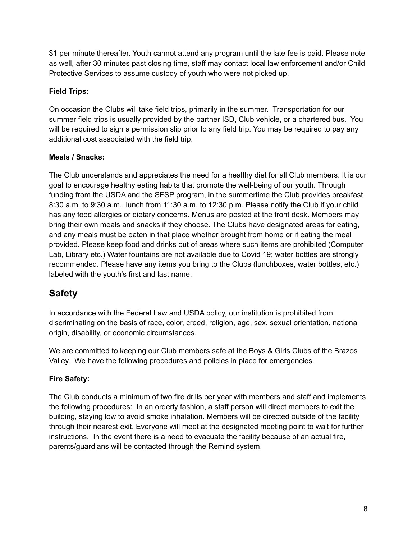\$1 per minute thereafter. Youth cannot attend any program until the late fee is paid. Please note as well, after 30 minutes past closing time, staff may contact local law enforcement and/or Child Protective Services to assume custody of youth who were not picked up.

## <span id="page-7-0"></span>**Field Trips:**

On occasion the Clubs will take field trips, primarily in the summer. Transportation for our summer field trips is usually provided by the partner ISD, Club vehicle, or a chartered bus. You will be required to sign a permission slip prior to any field trip. You may be required to pay any additional cost associated with the field trip.

## <span id="page-7-1"></span>**Meals / Snacks:**

The Club understands and appreciates the need for a healthy diet for all Club members. It is our goal to encourage healthy eating habits that promote the well-being of our youth. Through funding from the USDA and the SFSP program, in the summertime the Club provides breakfast 8:30 a.m. to 9:30 a.m., lunch from 11:30 a.m. to 12:30 p.m. Please notify the Club if your child has any food allergies or dietary concerns. Menus are posted at the front desk. Members may bring their own meals and snacks if they choose. The Clubs have designated areas for eating, and any meals must be eaten in that place whether brought from home or if eating the meal provided. Please keep food and drinks out of areas where such items are prohibited (Computer Lab, Library etc.) Water fountains are not available due to Covid 19; water bottles are strongly recommended. Please have any items you bring to the Clubs (lunchboxes, water bottles, etc.) labeled with the youth's first and last name.

## <span id="page-7-2"></span>**Safety**

In accordance with the Federal Law and USDA policy, our institution is prohibited from discriminating on the basis of race, color, creed, religion, age, sex, sexual orientation, national origin, disability, or economic circumstances.

We are committed to keeping our Club members safe at the Boys & Girls Clubs of the Brazos Valley. We have the following procedures and policies in place for emergencies.

## <span id="page-7-3"></span>**Fire Safety:**

The Club conducts a minimum of two fire drills per year with members and staff and implements the following procedures: In an orderly fashion, a staff person will direct members to exit the building, staying low to avoid smoke inhalation. Members will be directed outside of the facility through their nearest exit. Everyone will meet at the designated meeting point to wait for further instructions. In the event there is a need to evacuate the facility because of an actual fire, parents/guardians will be contacted through the Remind system.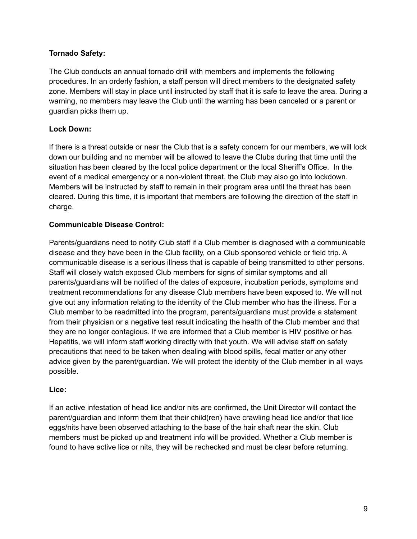## <span id="page-8-0"></span>**Tornado Safety:**

The Club conducts an annual tornado drill with members and implements the following procedures. In an orderly fashion, a staff person will direct members to the designated safety zone. Members will stay in place until instructed by staff that it is safe to leave the area. During a warning, no members may leave the Club until the warning has been canceled or a parent or guardian picks them up.

## <span id="page-8-1"></span>**Lock Down:**

If there is a threat outside or near the Club that is a safety concern for our members, we will lock down our building and no member will be allowed to leave the Clubs during that time until the situation has been cleared by the local police department or the local Sheriff's Office. In the event of a medical emergency or a non-violent threat, the Club may also go into lockdown. Members will be instructed by staff to remain in their program area until the threat has been cleared. During this time, it is important that members are following the direction of the staff in charge.

## <span id="page-8-2"></span>**Communicable Disease Control:**

Parents/guardians need to notify Club staff if a Club member is diagnosed with a communicable disease and they have been in the Club facility, on a Club sponsored vehicle or field trip. A communicable disease is a serious illness that is capable of being transmitted to other persons. Staff will closely watch exposed Club members for signs of similar symptoms and all parents/guardians will be notified of the dates of exposure, incubation periods, symptoms and treatment recommendations for any disease Club members have been exposed to. We will not give out any information relating to the identity of the Club member who has the illness. For a Club member to be readmitted into the program, parents/guardians must provide a statement from their physician or a negative test result indicating the health of the Club member and that they are no longer contagious. If we are informed that a Club member is HIV positive or has Hepatitis, we will inform staff working directly with that youth. We will advise staff on safety precautions that need to be taken when dealing with blood spills, fecal matter or any other advice given by the parent/guardian. We will protect the identity of the Club member in all ways possible.

## <span id="page-8-3"></span>**Lice:**

If an active infestation of head lice and/or nits are confirmed, the Unit Director will contact the parent/guardian and inform them that their child(ren) have crawling head lice and/or that lice eggs/nits have been observed attaching to the base of the hair shaft near the skin. Club members must be picked up and treatment info will be provided. Whether a Club member is found to have active lice or nits, they will be rechecked and must be clear before returning.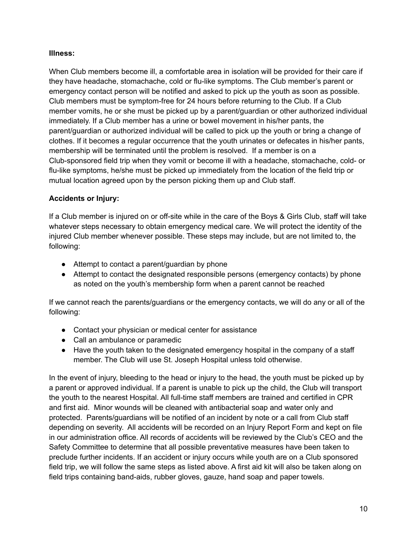## <span id="page-9-0"></span>**Illness:**

When Club members become ill, a comfortable area in isolation will be provided for their care if they have headache, stomachache, cold or flu-like symptoms. The Club member's parent or emergency contact person will be notified and asked to pick up the youth as soon as possible. Club members must be symptom-free for 24 hours before returning to the Club. If a Club member vomits, he or she must be picked up by a parent/guardian or other authorized individual immediately. If a Club member has a urine or bowel movement in his/her pants, the parent/guardian or authorized individual will be called to pick up the youth or bring a change of clothes. If it becomes a regular occurrence that the youth urinates or defecates in his/her pants, membership will be terminated until the problem is resolved. If a member is on a Club-sponsored field trip when they vomit or become ill with a headache, stomachache, cold- or flu-like symptoms, he/she must be picked up immediately from the location of the field trip or mutual location agreed upon by the person picking them up and Club staff.

## <span id="page-9-1"></span>**Accidents or Injury:**

If a Club member is injured on or off-site while in the care of the Boys & Girls Club, staff will take whatever steps necessary to obtain emergency medical care. We will protect the identity of the injured Club member whenever possible. These steps may include, but are not limited to, the following:

- Attempt to contact a parent/guardian by phone
- Attempt to contact the designated responsible persons (emergency contacts) by phone as noted on the youth's membership form when a parent cannot be reached

If we cannot reach the parents/guardians or the emergency contacts, we will do any or all of the following:

- Contact your physician or medical center for assistance
- Call an ambulance or paramedic
- Have the youth taken to the designated emergency hospital in the company of a staff member. The Club will use St. Joseph Hospital unless told otherwise.

In the event of injury, bleeding to the head or injury to the head, the youth must be picked up by a parent or approved individual. If a parent is unable to pick up the child, the Club will transport the youth to the nearest Hospital. All full-time staff members are trained and certified in CPR and first aid. Minor wounds will be cleaned with antibacterial soap and water only and protected. Parents/guardians will be notified of an incident by note or a call from Club staff depending on severity. All accidents will be recorded on an Injury Report Form and kept on file in our administration office. All records of accidents will be reviewed by the Club's CEO and the Safety Committee to determine that all possible preventative measures have been taken to preclude further incidents. If an accident or injury occurs while youth are on a Club sponsored field trip, we will follow the same steps as listed above. A first aid kit will also be taken along on field trips containing band-aids, rubber gloves, gauze, hand soap and paper towels.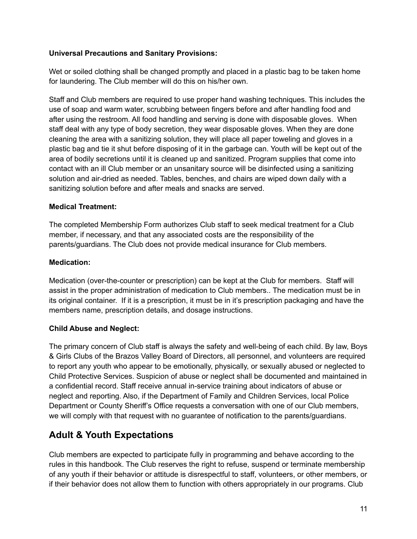## <span id="page-10-0"></span>**Universal Precautions and Sanitary Provisions:**

Wet or soiled clothing shall be changed promptly and placed in a plastic bag to be taken home for laundering. The Club member will do this on his/her own.

Staff and Club members are required to use proper hand washing techniques. This includes the use of soap and warm water, scrubbing between fingers before and after handling food and after using the restroom. All food handling and serving is done with disposable gloves. When staff deal with any type of body secretion, they wear disposable gloves. When they are done cleaning the area with a sanitizing solution, they will place all paper toweling and gloves in a plastic bag and tie it shut before disposing of it in the garbage can. Youth will be kept out of the area of bodily secretions until it is cleaned up and sanitized. Program supplies that come into contact with an ill Club member or an unsanitary source will be disinfected using a sanitizing solution and air-dried as needed. Tables, benches, and chairs are wiped down daily with a sanitizing solution before and after meals and snacks are served.

## <span id="page-10-1"></span>**Medical Treatment:**

The completed Membership Form authorizes Club staff to seek medical treatment for a Club member, if necessary, and that any associated costs are the responsibility of the parents/guardians. The Club does not provide medical insurance for Club members.

## <span id="page-10-2"></span>**Medication:**

Medication (over-the-counter or prescription) can be kept at the Club for members. Staff will assist in the proper administration of medication to Club members.. The medication must be in its original container. If it is a prescription, it must be in it's prescription packaging and have the members name, prescription details, and dosage instructions.

## <span id="page-10-3"></span>**Child Abuse and Neglect:**

The primary concern of Club staff is always the safety and well-being of each child. By law, Boys & Girls Clubs of the Brazos Valley Board of Directors, all personnel, and volunteers are required to report any youth who appear to be emotionally, physically, or sexually abused or neglected to Child Protective Services. Suspicion of abuse or neglect shall be documented and maintained in a confidential record. Staff receive annual in-service training about indicators of abuse or neglect and reporting. Also, if the Department of Family and Children Services, local Police Department or County Sheriff's Office requests a conversation with one of our Club members, we will comply with that request with no guarantee of notification to the parents/guardians.

## <span id="page-10-4"></span>**Adult & Youth Expectations**

Club members are expected to participate fully in programming and behave according to the rules in this handbook. The Club reserves the right to refuse, suspend or terminate membership of any youth if their behavior or attitude is disrespectful to staff, volunteers, or other members, or if their behavior does not allow them to function with others appropriately in our programs. Club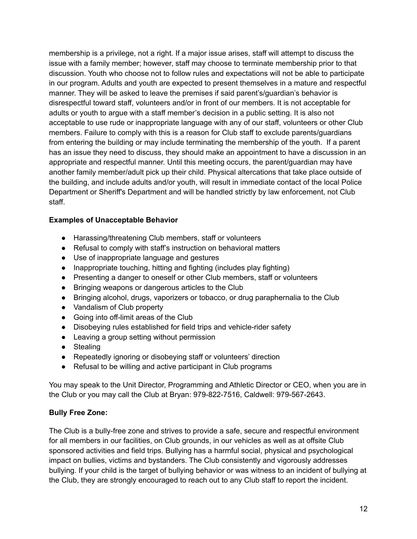membership is a privilege, not a right. If a major issue arises, staff will attempt to discuss the issue with a family member; however, staff may choose to terminate membership prior to that discussion. Youth who choose not to follow rules and expectations will not be able to participate in our program. Adults and youth are expected to present themselves in a mature and respectful manner. They will be asked to leave the premises if said parent's/guardian's behavior is disrespectful toward staff, volunteers and/or in front of our members. It is not acceptable for adults or youth to argue with a staff member's decision in a public setting. It is also not acceptable to use rude or inappropriate language with any of our staff, volunteers or other Club members. Failure to comply with this is a reason for Club staff to exclude parents/guardians from entering the building or may include terminating the membership of the youth. If a parent has an issue they need to discuss, they should make an appointment to have a discussion in an appropriate and respectful manner. Until this meeting occurs, the parent/guardian may have another family member/adult pick up their child. Physical altercations that take place outside of the building, and include adults and/or youth, will result in immediate contact of the local Police Department or Sheriff's Department and will be handled strictly by law enforcement, not Club staff.

## <span id="page-11-0"></span>**Examples of Unacceptable Behavior**

- Harassing/threatening Club members, staff or volunteers
- Refusal to comply with staff's instruction on behavioral matters
- Use of inappropriate language and gestures
- Inappropriate touching, hitting and fighting (includes play fighting)
- Presenting a danger to oneself or other Club members, staff or volunteers
- Bringing weapons or dangerous articles to the Club
- Bringing alcohol, drugs, vaporizers or tobacco, or drug paraphernalia to the Club
- Vandalism of Club property
- Going into off-limit areas of the Club
- Disobeying rules established for field trips and vehicle-rider safety
- Leaving a group setting without permission
- Stealing
- Repeatedly ignoring or disobeying staff or volunteers' direction
- Refusal to be willing and active participant in Club programs

You may speak to the Unit Director, Programming and Athletic Director or CEO, when you are in the Club or you may call the Club at Bryan: 979-822-7516, Caldwell: 979-567-2643.

## <span id="page-11-1"></span>**Bully Free Zone:**

The Club is a bully-free zone and strives to provide a safe, secure and respectful environment for all members in our facilities, on Club grounds, in our vehicles as well as at offsite Club sponsored activities and field trips. Bullying has a harmful social, physical and psychological impact on bullies, victims and bystanders. The Club consistently and vigorously addresses bullying. If your child is the target of bullying behavior or was witness to an incident of bullying at the Club, they are strongly encouraged to reach out to any Club staff to report the incident.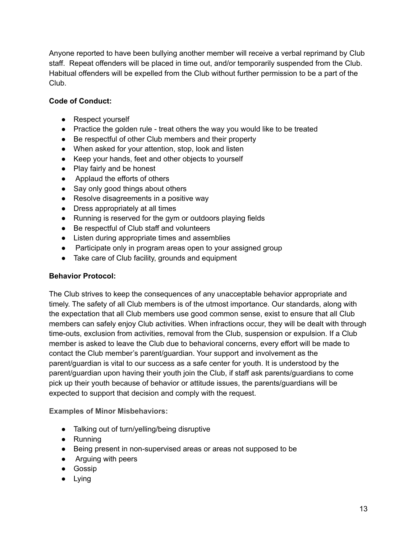Anyone reported to have been bullying another member will receive a verbal reprimand by Club staff. Repeat offenders will be placed in time out, and/or temporarily suspended from the Club. Habitual offenders will be expelled from the Club without further permission to be a part of the Club.

## <span id="page-12-0"></span>**Code of Conduct:**

- Respect yourself
- Practice the golden rule treat others the way you would like to be treated
- Be respectful of other Club members and their property
- When asked for your attention, stop, look and listen
- Keep your hands, feet and other objects to yourself
- Play fairly and be honest
- Applaud the efforts of others
- Say only good things about others
- Resolve disagreements in a positive way
- Dress appropriately at all times
- Running is reserved for the gym or outdoors playing fields
- Be respectful of Club staff and volunteers
- Listen during appropriate times and assemblies
- Participate only in program areas open to your assigned group
- Take care of Club facility, grounds and equipment

## <span id="page-12-1"></span>**Behavior Protocol:**

The Club strives to keep the consequences of any unacceptable behavior appropriate and timely. The safety of all Club members is of the utmost importance. Our standards, along with the expectation that all Club members use good common sense, exist to ensure that all Club members can safely enjoy Club activities. When infractions occur, they will be dealt with through time-outs, exclusion from activities, removal from the Club, suspension or expulsion. If a Club member is asked to leave the Club due to behavioral concerns, every effort will be made to contact the Club member's parent/guardian. Your support and involvement as the parent/guardian is vital to our success as a safe center for youth. It is understood by the parent/guardian upon having their youth join the Club, if staff ask parents/guardians to come pick up their youth because of behavior or attitude issues, the parents/guardians will be expected to support that decision and comply with the request.

<span id="page-12-2"></span>**Examples of Minor Misbehaviors:**

- Talking out of turn/yelling/being disruptive
- Running
- Being present in non-supervised areas or areas not supposed to be
- Arguing with peers
- Gossip
- Lying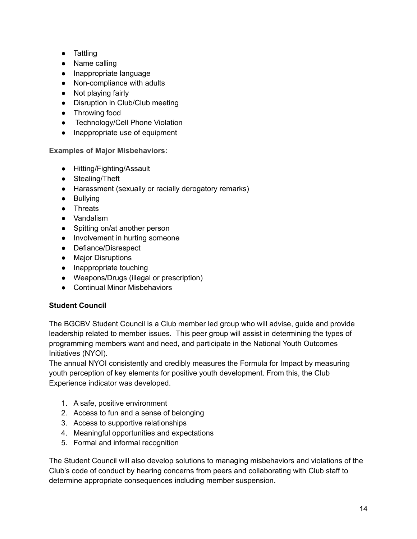- Tattling
- Name calling
- Inappropriate language
- Non-compliance with adults
- Not playing fairly
- Disruption in Club/Club meeting
- Throwing food
- Technology/Cell Phone Violation
- Inappropriate use of equipment

<span id="page-13-0"></span>**Examples of Major Misbehaviors:**

- Hitting/Fighting/Assault
- Stealing/Theft
- Harassment (sexually or racially derogatory remarks)
- Bullying
- Threats
- Vandalism
- Spitting on/at another person
- Involvement in hurting someone
- Defiance/Disrespect
- Major Disruptions
- Inappropriate touching
- Weapons/Drugs (illegal or prescription)
- Continual Minor Misbehaviors

## <span id="page-13-1"></span>**Student Council**

The BGCBV Student Council is a Club member led group who will advise, guide and provide leadership related to member issues. This peer group will assist in determining the types of programming members want and need, and participate in the National Youth Outcomes Initiatives (NYOI).

The annual NYOI consistently and credibly measures the Formula for Impact by measuring youth perception of key elements for positive youth development. From this, the Club Experience indicator was developed.

- 1. A safe, positive environment
- 2. Access to fun and a sense of belonging
- 3. Access to supportive relationships
- 4. Meaningful opportunities and expectations
- 5. Formal and informal recognition

The Student Council will also develop solutions to managing misbehaviors and violations of the Club's code of conduct by hearing concerns from peers and collaborating with Club staff to determine appropriate consequences including member suspension.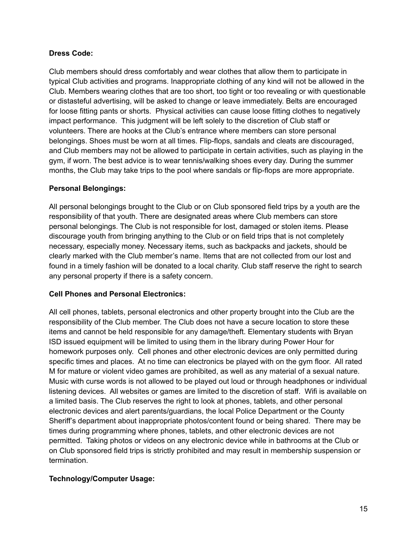#### **Dress Code:**

Club members should dress comfortably and wear clothes that allow them to participate in typical Club activities and programs. Inappropriate clothing of any kind will not be allowed in the Club. Members wearing clothes that are too short, too tight or too revealing or with questionable or distasteful advertising, will be asked to change or leave immediately. Belts are encouraged for loose fitting pants or shorts. Physical activities can cause loose fitting clothes to negatively impact performance. This judgment will be left solely to the discretion of Club staff or volunteers. There are hooks at the Club's entrance where members can store personal belongings. Shoes must be worn at all times. Flip-flops, sandals and cleats are discouraged, and Club members may not be allowed to participate in certain activities, such as playing in the gym, if worn. The best advice is to wear tennis/walking shoes every day. During the summer months, the Club may take trips to the pool where sandals or flip-flops are more appropriate.

#### <span id="page-14-0"></span>**Personal Belongings:**

All personal belongings brought to the Club or on Club sponsored field trips by a youth are the responsibility of that youth. There are designated areas where Club members can store personal belongings. The Club is not responsible for lost, damaged or stolen items. Please discourage youth from bringing anything to the Club or on field trips that is not completely necessary, especially money. Necessary items, such as backpacks and jackets, should be clearly marked with the Club member's name. Items that are not collected from our lost and found in a timely fashion will be donated to a local charity. Club staff reserve the right to search any personal property if there is a safety concern.

## <span id="page-14-1"></span>**Cell Phones and Personal Electronics:**

All cell phones, tablets, personal electronics and other property brought into the Club are the responsibility of the Club member. The Club does not have a secure location to store these items and cannot be held responsible for any damage/theft. Elementary students with Bryan ISD issued equipment will be limited to using them in the library during Power Hour for homework purposes only. Cell phones and other electronic devices are only permitted during specific times and places. At no time can electronics be played with on the gym floor. All rated M for mature or violent video games are prohibited, as well as any material of a sexual nature. Music with curse words is not allowed to be played out loud or through headphones or individual listening devices. All websites or games are limited to the discretion of staff. Wifi is available on a limited basis. The Club reserves the right to look at phones, tablets, and other personal electronic devices and alert parents/guardians, the local Police Department or the County Sheriff's department about inappropriate photos/content found or being shared. There may be times during programming where phones, tablets, and other electronic devices are not permitted. Taking photos or videos on any electronic device while in bathrooms at the Club or on Club sponsored field trips is strictly prohibited and may result in membership suspension or termination.

## **Technology/Computer Usage:**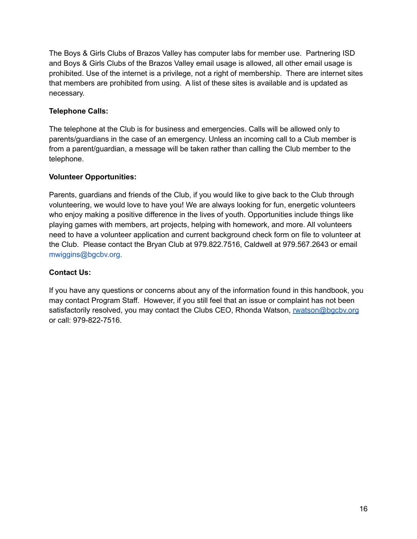The Boys & Girls Clubs of Brazos Valley has computer labs for member use. Partnering ISD and Boys & Girls Clubs of the Brazos Valley email usage is allowed, all other email usage is prohibited. Use of the internet is a privilege, not a right of membership. There are internet sites that members are prohibited from using. A list of these sites is available and is updated as necessary.

## <span id="page-15-0"></span>**Telephone Calls:**

The telephone at the Club is for business and emergencies. Calls will be allowed only to parents/guardians in the case of an emergency. Unless an incoming call to a Club member is from a parent/guardian, a message will be taken rather than calling the Club member to the telephone.

## <span id="page-15-1"></span>**Volunteer Opportunities:**

Parents, guardians and friends of the Club, if you would like to give back to the Club through volunteering, we would love to have you! We are always looking for fun, energetic volunteers who enjoy making a positive difference in the lives of youth. Opportunities include things like playing games with members, art projects, helping with homework, and more. All volunteers need to have a volunteer application and current background check form on file to volunteer at the Club. Please contact the Bryan Club at 979.822.7516, Caldwell at 979.567.2643 or email mwiggins@bgcbv.org.

## <span id="page-15-2"></span>**Contact Us:**

If you have any questions or concerns about any of the information found in this handbook, you may contact Program Staff. However, if you still feel that an issue or complaint has not been satisfactorily resolved, you may contact the Clubs CEO, Rhonda Watson, [rwatson@bgcbv.org](mailto:rwatson@bgcbv.org) or call: 979-822-7516.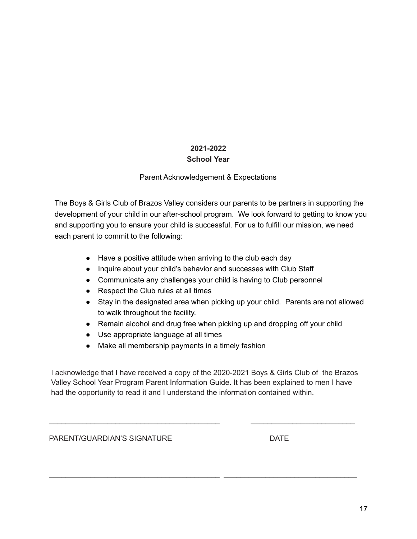## **2021-2022**

## **School Year**

## Parent Acknowledgement & Expectations

<span id="page-16-0"></span>The Boys & Girls Club of Brazos Valley considers our parents to be partners in supporting the development of your child in our after-school program. We look forward to getting to know you and supporting you to ensure your child is successful. For us to fulfill our mission, we need each parent to commit to the following:

- Have a positive attitude when arriving to the club each day
- Inquire about your child's behavior and successes with Club Staff
- Communicate any challenges your child is having to Club personnel
- Respect the Club rules at all times
- Stay in the designated area when picking up your child. Parents are not allowed to walk throughout the facility.
- Remain alcohol and drug free when picking up and dropping off your child
- Use appropriate language at all times
- Make all membership payments in a timely fashion

I acknowledge that I have received a copy of the 2020-2021 Boys & Girls Club of the Brazos Valley School Year Program Parent Information Guide. It has been explained to men I have had the opportunity to read it and I understand the information contained within.

\_\_\_\_\_\_\_\_\_\_\_\_\_\_\_\_\_\_\_\_\_\_\_\_\_\_\_\_\_\_\_\_\_\_\_\_\_\_\_\_\_ \_\_\_\_\_\_\_\_\_\_\_\_\_\_\_\_\_\_\_\_\_\_\_\_\_

\_\_\_\_\_\_\_\_\_\_\_\_\_\_\_\_\_\_\_\_\_\_\_\_\_\_\_\_\_\_\_\_\_\_\_\_\_\_\_\_\_ \_\_\_\_\_\_\_\_\_\_\_\_\_\_\_\_\_\_\_\_\_\_\_\_\_\_\_\_\_\_\_\_

PARENT/GUARDIAN'S SIGNATURE DATE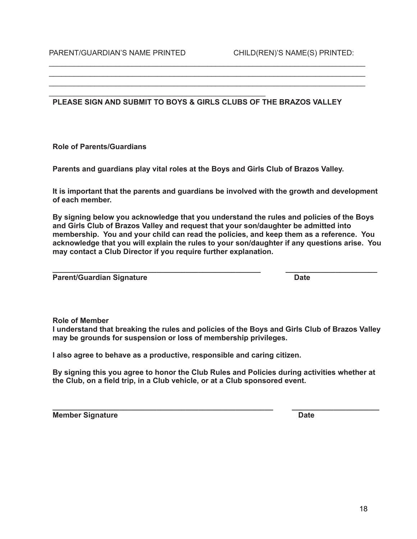#### **PLEASE SIGN AND SUBMIT TO BOYS & GIRLS CLUBS OF THE BRAZOS VALLEY**

\_\_\_\_\_\_\_\_\_\_\_\_\_\_\_\_\_\_\_\_\_\_\_\_\_\_\_\_\_\_\_\_\_\_\_\_\_\_\_\_\_\_\_\_\_\_\_\_\_\_\_\_

\_\_\_\_\_\_\_\_\_\_\_\_\_\_\_\_\_\_\_\_\_\_\_\_\_\_\_\_\_\_\_\_\_\_\_\_\_\_\_\_\_\_\_\_\_\_\_\_\_\_\_\_\_\_\_\_\_\_\_\_\_\_\_\_\_\_\_\_\_\_\_\_\_\_\_\_ \_\_\_\_\_\_\_\_\_\_\_\_\_\_\_\_\_\_\_\_\_\_\_\_\_\_\_\_\_\_\_\_\_\_\_\_\_\_\_\_\_\_\_\_\_\_\_\_\_\_\_\_\_\_\_\_\_\_\_\_\_\_\_\_\_\_\_\_\_\_\_\_\_\_\_\_

**Role of Parents/Guardians**

**Parents and guardians play vital roles at the Boys and Girls Club of Brazos Valley.**

**It is important that the parents and guardians be involved with the growth and development of each member.**

**By signing below you acknowledge that you understand the rules and policies of the Boys and Girls Club of Brazos Valley and request that your son/daughter be admitted into membership. You and your child can read the policies, and keep them as a reference. You acknowledge that you will explain the rules to your son/daughter if any questions arise. You may contact a Club Director if you require further explanation.**

**\_\_\_\_\_\_\_\_\_\_\_\_\_\_\_\_\_\_\_\_\_\_\_\_\_\_\_\_\_\_\_\_\_\_\_\_\_\_\_\_\_\_\_\_\_\_\_\_\_\_ \_\_\_\_\_\_\_\_\_\_\_\_\_\_\_\_\_\_\_\_\_\_**

**Parent/Guardian Signature Date**

**Role of Member**

**I understand that breaking the rules and policies of the Boys and Girls Club of Brazos Valley may be grounds for suspension or loss of membership privileges.**

**I also agree to behave as a productive, responsible and caring citizen.**

**By signing this you agree to honor the Club Rules and Policies during activities whether at the Club, on a field trip, in a Club vehicle, or at a Club sponsored event.**

**Member Signature Date**

**\_\_\_\_\_\_\_\_\_\_\_\_\_\_\_\_\_\_\_\_\_\_\_\_\_\_\_\_\_\_\_\_\_\_\_\_\_\_\_\_\_\_\_\_\_\_\_\_\_\_\_\_\_ \_\_\_\_\_\_\_\_\_\_\_\_\_\_\_\_\_\_\_\_\_**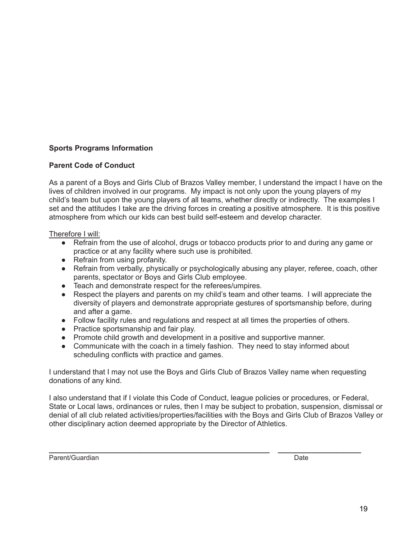## **Sports Programs Information**

## **Parent Code of Conduct**

As a parent of a Boys and Girls Club of Brazos Valley member, I understand the impact I have on the lives of children involved in our programs. My impact is not only upon the young players of my child's team but upon the young players of all teams, whether directly or indirectly. The examples I set and the attitudes I take are the driving forces in creating a positive atmosphere. It is this positive atmosphere from which our kids can best build self-esteem and develop character.

Therefore I will:

- Refrain from the use of alcohol, drugs or tobacco products prior to and during any game or practice or at any facility where such use is prohibited.
- Refrain from using profanity.
- Refrain from verbally, physically or psychologically abusing any player, referee, coach, other parents, spectator or Boys and Girls Club employee.
- Teach and demonstrate respect for the referees/umpires.
- Respect the players and parents on my child's team and other teams. I will appreciate the diversity of players and demonstrate appropriate gestures of sportsmanship before, during and after a game.
- Follow facility rules and regulations and respect at all times the properties of others.
- Practice sportsmanship and fair play.
- Promote child growth and development in a positive and supportive manner.
- Communicate with the coach in a timely fashion. They need to stay informed about scheduling conflicts with practice and games.

I understand that I may not use the Boys and Girls Club of Brazos Valley name when requesting donations of any kind.

I also understand that if I violate this Code of Conduct, league policies or procedures, or Federal, State or Local laws, ordinances or rules, then I may be subject to probation, suspension, dismissal or denial of all club related activities/properties/facilities with the Boys and Girls Club of Brazos Valley or other disciplinary action deemed appropriate by the Director of Athletics.

Parent/Guardian Date **Date of the Contract of the Contract of Contract of Contract Only and Date** 

**\_\_\_\_\_\_\_\_\_\_\_\_\_\_\_\_\_\_\_\_\_\_\_\_\_\_\_\_\_\_\_\_\_\_\_\_\_\_\_\_\_\_\_\_\_\_\_\_\_\_\_\_\_ \_\_\_\_\_\_\_\_\_\_\_\_\_\_\_\_\_\_\_\_**